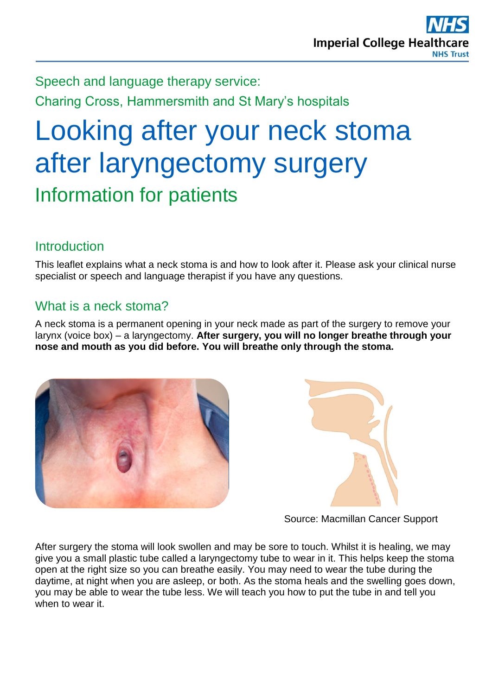Speech and language therapy service: Charing Cross, Hammersmith and St Mary's hospitals

# Looking after your neck stoma after laryngectomy surgery Information for patients

## **Introduction**

This leaflet explains what a neck stoma is and how to look after it. Please ask your clinical nurse specialist or speech and language therapist if you have any questions.

### What is a neck stoma?

A neck stoma is a permanent opening in your neck made as part of the surgery to remove your larynx (voice box) – a laryngectomy. **After surgery, you will no longer breathe through your nose and mouth as you did before. You will breathe only through the stoma.**





Source: Macmillan Cancer Support

After surgery the stoma will look swollen and may be sore to touch. Whilst it is healing, we may give you a small plastic tube called a laryngectomy tube to wear in it. This helps keep the stoma open at the right size so you can breathe easily. You may need to wear the tube during the daytime, at night when you are asleep, or both. As the stoma heals and the swelling goes down, you may be able to wear the tube less. We will teach you how to put the tube in and tell you when to wear it.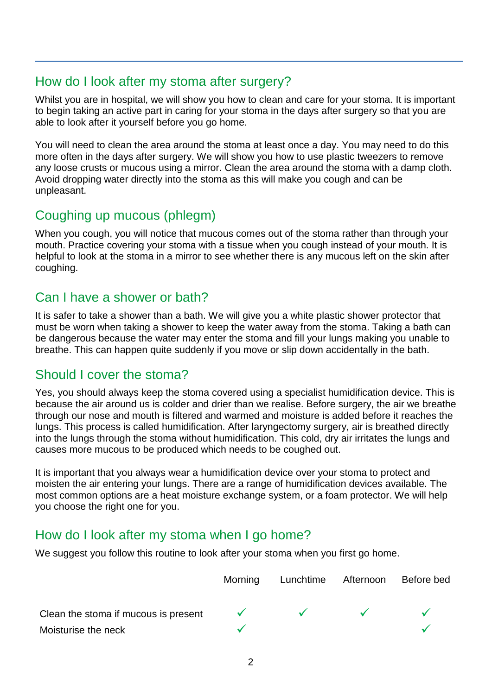#### How do I look after my stoma after surgery?

Whilst you are in hospital, we will show you how to clean and care for your stoma. It is important to begin taking an active part in caring for your stoma in the days after surgery so that you are able to look after it yourself before you go home.

You will need to clean the area around the stoma at least once a day. You may need to do this more often in the days after surgery. We will show you how to use plastic tweezers to remove any loose crusts or mucous using a mirror. Clean the area around the stoma with a damp cloth. Avoid dropping water directly into the stoma as this will make you cough and can be unpleasant.

#### Coughing up mucous (phlegm)

When you cough, you will notice that mucous comes out of the stoma rather than through your mouth. Practice covering your stoma with a tissue when you cough instead of your mouth. It is helpful to look at the stoma in a mirror to see whether there is any mucous left on the skin after coughing.

### Can I have a shower or bath?

It is safer to take a shower than a bath. We will give you a white plastic shower protector that must be worn when taking a shower to keep the water away from the stoma. Taking a bath can be dangerous because the water may enter the stoma and fill your lungs making you unable to breathe. This can happen quite suddenly if you move or slip down accidentally in the bath.

#### Should I cover the stoma?

Yes, you should always keep the stoma covered using a specialist humidification device. This is because the air around us is colder and drier than we realise. Before surgery, the air we breathe through our nose and mouth is filtered and warmed and moisture is added before it reaches the lungs. This process is called humidification. After laryngectomy surgery, air is breathed directly into the lungs through the stoma without humidification. This cold, dry air irritates the lungs and causes more mucous to be produced which needs to be coughed out.

It is important that you always wear a humidification device over your stoma to protect and moisten the air entering your lungs. There are a range of humidification devices available. The most common options are a heat moisture exchange system, or a foam protector. We will help you choose the right one for you.

#### How do I look after my stoma when I go home?

We suggest you follow this routine to look after your stoma when you first go home.

|                                      | <b>Morning</b> | Lunchtime Afternoon | Before bed |
|--------------------------------------|----------------|---------------------|------------|
| Clean the stoma if mucous is present |                | $\sqrt{2}$          |            |
| Moisturise the neck                  |                |                     |            |